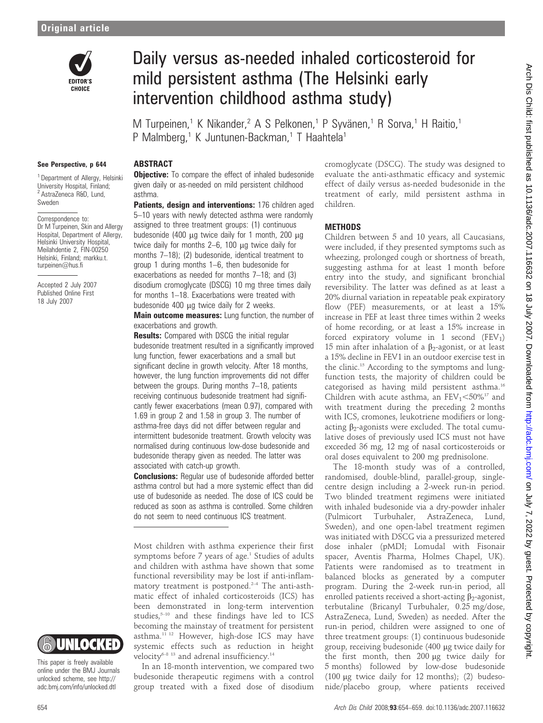

# Daily versus as-needed inhaled corticosteroid for mild persistent asthma (The Helsinki early intervention childhood asthma study)

M Turpeinen,<sup>1</sup> K Nikander,<sup>2</sup> A S Pelkonen,<sup>1</sup> P Syvänen,<sup>1</sup> R Sorva,<sup>1</sup> H Raitio,<sup>1</sup> P Malmberg,<sup>1</sup> K Juntunen-Backman,<sup>1</sup> T Haahtela<sup>1</sup>

#### See Perspective, p 644

<sup>1</sup> Department of Allergy, Helsinki University Hospital, Finland; <sup>2</sup> AstraZeneca R&D, Lund, Sweden

Correspondence to: Dr M Turpeinen, Skin and Allergy Hospital, Department of Allergy, Helsinki University Hospital, Meilahdentie 2, FIN-00250 Helsinki, Finland; markku.t. turpeinen@hus.fi

Accepted 2 July 2007 Published Online First 18 July 2007

# **ABSTRACT**

**Objective:** To compare the effect of inhaled budesonide given daily or as-needed on mild persistent childhood asthma.

Patients, design and interventions: 176 children aged 5–10 years with newly detected asthma were randomly assigned to three treatment groups: (1) continuous budesonide (400  $\mu$ g twice daily for 1 month, 200  $\mu$ g twice daily for months  $2-6$ , 100  $\mu$ g twice daily for months 7–18); (2) budesonide, identical treatment to group 1 during months 1–6, then budesonide for exacerbations as needed for months 7–18; and (3) disodium cromoglycate (DSCG) 10 mg three times daily for months 1–18. Exacerbations were treated with budesonide  $400 \mu q$  twice daily for 2 weeks.

**Main outcome measures:** Lung function, the number of exacerbations and growth.

**Results:** Compared with DSCG the initial regular budesonide treatment resulted in a significantly improved lung function, fewer exacerbations and a small but significant decline in growth velocity. After 18 months, however, the lung function improvements did not differ between the groups. During months 7–18, patients receiving continuous budesonide treatment had significantly fewer exacerbations (mean 0.97), compared with 1.69 in group 2 and 1.58 in group 3. The number of asthma-free days did not differ between regular and intermittent budesonide treatment. Growth velocity was normalised during continuous low-dose budesonide and budesonide therapy given as needed. The latter was associated with catch-up growth.

**Conclusions:** Regular use of budesonide afforded better asthma control but had a more systemic effect than did use of budesonide as needed. The dose of ICS could be reduced as soon as asthma is controlled. Some children do not seem to need continuous ICS treatment.

Most children with asthma experience their first symptoms before 7 years of age.<sup>1</sup> Studies of adults and children with asthma have shown that some functional reversibility may be lost if anti-inflammatory treatment is postponed.<sup>2-4</sup> The anti-asthmatic effect of inhaled corticosteroids (ICS) has been demonstrated in long-term intervention studies,<sup>5-10</sup> and these findings have led to ICS becoming the mainstay of treatment for persistent asthma.11 12 However, high-dose ICS may have systemic effects such as reduction in height velocity<sup>6-8 13</sup> and adrenal insufficiency.<sup>14</sup>

In an 18-month intervention, we compared two budesonide therapeutic regimens with a control group treated with a fixed dose of disodium

cromoglycate (DSCG). The study was designed to evaluate the anti-asthmatic efficacy and systemic effect of daily versus as-needed budesonide in the treatment of early, mild persistent asthma in children.

#### **METHODS**

Children between 5 and 10 years, all Caucasians, were included, if they presented symptoms such as wheezing, prolonged cough or shortness of breath, suggesting asthma for at least 1 month before entry into the study, and significant bronchial reversibility. The latter was defined as at least a 20% diurnal variation in repeatable peak expiratory flow (PEF) measurements, or at least a 15% increase in PEF at least three times within 2 weeks of home recording, or at least a 15% increase in forced expiratory volume in 1 second  $(FEV_1)$ 15 min after inhalation of a  $\beta_2$ -agonist, or at least a 15% decline in FEV1 in an outdoor exercise test in the clinic.<sup>15</sup> According to the symptoms and lungfunction tests, the majority of children could be categorised as having mild persistent asthma.16 Children with acute asthma, an  $FEV_1 < 50\%^{17}$  and with treatment during the preceding 2 months with ICS, cromones, leukotriene modifiers or longacting  $\beta_2$ -agonists were excluded. The total cumulative doses of previously used ICS must not have exceeded 36 mg, 12 mg of nasal corticosteroids or oral doses equivalent to 200 mg prednisolone.

The 18-month study was of a controlled, randomised, double-blind, parallel-group, singlecentre design including a 2-week run-in period. Two blinded treatment regimens were initiated with inhaled budesonide via a dry-powder inhaler (Pulmicort Turbuhaler, AstraZeneca, Lund, Sweden), and one open-label treatment regimen was initiated with DSCG via a pressurized metered dose inhaler (pMDI; Lomudal with Fisonair spacer, Aventis Pharma, Holmes Chapel, UK). Patients were randomised as to treatment in balanced blocks as generated by a computer program. During the 2-week run-in period, all enrolled patients received a short-acting  $\beta_2$ -agonist, terbutaline (Bricanyl Turbuhaler, 0.25 mg/dose, AstraZeneca, Lund, Sweden) as needed. After the run-in period, children were assigned to one of three treatment groups: (1) continuous budesonide group, receiving budesonide (400 mg twice daily for the first month, then 200 µg twice daily for 5 months) followed by low-dose budesonide (100  $\mu$ g twice daily for 12 months); (2) budesonide/placebo group, where patients received



This paper is freely available online under the BMJ Journals unlocked scheme, see http:// adc.bmj.com/info/unlocked.dtl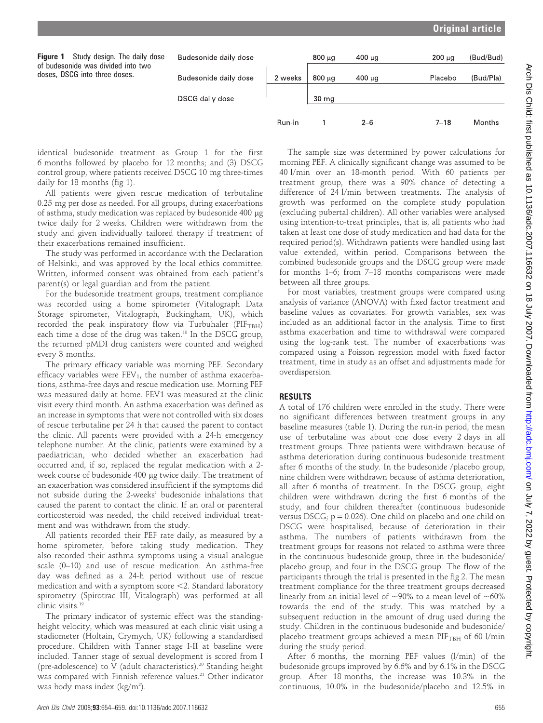# Original article

| Figure 1<br>Study design. The daily dose<br>of budesonide was divided into two<br>doses, DSCG into three doses. | Budesonide daily dose |         | 800 սզ           | 400 μg  | $200 \mu q$ | (Bud/Bud) |
|-----------------------------------------------------------------------------------------------------------------|-----------------------|---------|------------------|---------|-------------|-----------|
|                                                                                                                 | Budesonide daily dose | 2 weeks | $800 \mu q$      | 400 μg  | Placebo     | (Bud/Pla) |
|                                                                                                                 | DSCG daily dose       |         | 30 <sub>mg</sub> |         |             |           |
|                                                                                                                 |                       | Run-in  |                  | $2 - 6$ | 7–18        | Months    |

identical budesonide treatment as Group 1 for the first 6 months followed by placebo for 12 months; and (3) DSCG control group, where patients received DSCG 10 mg three-times daily for 18 months (fig 1).

All patients were given rescue medication of terbutaline 0.25 mg per dose as needed. For all groups, during exacerbations of asthma, study medication was replaced by budesonide 400 mg twice daily for 2 weeks. Children were withdrawn from the study and given individually tailored therapy if treatment of their exacerbations remained insufficient.

The study was performed in accordance with the Declaration of Helsinki, and was approved by the local ethics committee. Written, informed consent was obtained from each patient's parent(s) or legal guardian and from the patient.

For the budesonide treatment groups, treatment compliance was recorded using a home spirometer (Vitalograph Data Storage spirometer, Vitalograph, Buckingham, UK), which recorded the peak inspiratory flow via Turbuhaler ( $PIF_{TRH}$ ) each time a dose of the drug was taken.<sup>18</sup> In the DSCG group, the returned pMDI drug canisters were counted and weighed every 3 months.

The primary efficacy variable was morning PEF. Secondary efficacy variables were  $FEV_1$ , the number of asthma exacerbations, asthma-free days and rescue medication use. Morning PEF was measured daily at home. FEV1 was measured at the clinic visit every third month. An asthma exacerbation was defined as an increase in symptoms that were not controlled with six doses of rescue terbutaline per 24 h that caused the parent to contact the clinic. All parents were provided with a 24-h emergency telephone number. At the clinic, patients were examined by a paediatrician, who decided whether an exacerbation had occurred and, if so, replaced the regular medication with a 2 week course of budesonide 400 µg twice daily. The treatment of an exacerbation was considered insufficient if the symptoms did not subside during the 2-weeks' budesonide inhalations that caused the parent to contact the clinic. If an oral or parenteral corticosteroid was needed, the child received individual treatment and was withdrawn from the study.

All patients recorded their PEF rate daily, as measured by a home spirometer, before taking study medication. They also recorded their asthma symptoms using a visual analogue scale (0–10) and use of rescue medication. An asthma-free day was defined as a 24-h period without use of rescue medication and with a symptom score  $\leq$ 2. Standard laboratory spirometry (Spirotrac III, Vitalograph) was performed at all clinic visits.<sup>19</sup>

The primary indicator of systemic effect was the standingheight velocity, which was measured at each clinic visit using a stadiometer (Holtain, Crymych, UK) following a standardised procedure. Children with Tanner stage I-II at baseline were included. Tanner stage of sexual development is scored from I (pre-adolescence) to V (adult characteristics).<sup>20</sup> Standing height was compared with Finnish reference values.<sup>21</sup> Other indicator was body mass index  $(kg/m<sup>2</sup>)$ .

The sample size was determined by power calculations for morning PEF. A clinically significant change was assumed to be 40 l/min over an 18-month period. With 60 patients per treatment group, there was a 90% chance of detecting a difference of 24 l/min between treatments. The analysis of growth was performed on the complete study population (excluding pubertal children). All other variables were analysed using intention-to-treat principles, that is, all patients who had taken at least one dose of study medication and had data for the required period(s). Withdrawn patients were handled using last value extended, within period. Comparisons between the combined budesonide groups and the DSCG group were made for months 1–6; from 7–18 months comparisons were made between all three groups.

For most variables, treatment groups were compared using analysis of variance (ANOVA) with fixed factor treatment and baseline values as covariates. For growth variables, sex was included as an additional factor in the analysis. Time to first asthma exacerbation and time to withdrawal were compared using the log-rank test. The number of exacerbations was compared using a Poisson regression model with fixed factor treatment, time in study as an offset and adjustments made for overdispersion.

#### RESULTS

A total of 176 children were enrolled in the study. There were no significant differences between treatment groups in any baseline measures (table 1). During the run-in period, the mean use of terbutaline was about one dose every 2 days in all treatment groups. Three patients were withdrawn because of asthma deterioration during continuous budesonide treatment after 6 months of the study. In the budesonide /placebo group, nine children were withdrawn because of asthma deterioration, all after 6 months of treatment. In the DSCG group, eight children were withdrawn during the first 6 months of the study, and four children thereafter (continuous budesonide versus DSCG;  $p = 0.026$ ). One child on placebo and one child on DSCG were hospitalised, because of deterioration in their asthma. The numbers of patients withdrawn from the treatment groups for reasons not related to asthma were three in the continuous budesonide group, three in the budesonide/ placebo group, and four in the DSCG group. The flow of the participants through the trial is presented in the fig 2. The mean treatment compliance for the three treatment groups decreased linearly from an initial level of  $\sim$ 90% to a mean level of  $\sim$ 60% towards the end of the study. This was matched by a subsequent reduction in the amount of drug used during the study. Children in the continuous budesonide and budesonide/ placebo treatment groups achieved a mean PIF<sub>TBH</sub> of 60 l/min during the study period.

After 6 months, the morning PEF values (l/min) of the budesonide groups improved by 6.6% and by 6.1% in the DSCG group. After 18 months, the increase was 10.3% in the continuous, 10.0% in the budesonide/placebo and 12.5% in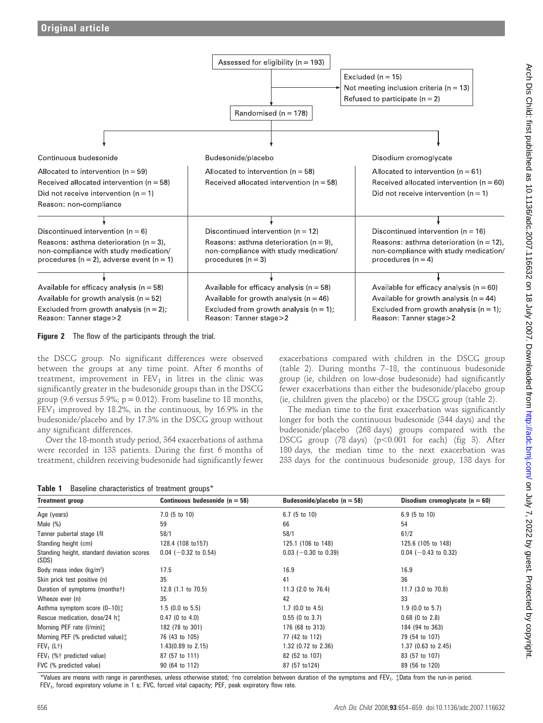

**Figure 2** The flow of the participants through the trial.

the DSCG group. No significant differences were observed between the groups at any time point. After 6 months of treatment, improvement in  $FEV<sub>1</sub>$  in litres in the clinic was significantly greater in the budesonide groups than in the DSCG group (9.6 versus 5.9%;  $p = 0.012$ ). From baseline to 18 months,  $FEV<sub>1</sub>$  improved by 18.2%, in the continuous, by 16.9% in the budesonide/placebo and by 17.3% in the DSCG group without any significant differences.

Over the 18-month study period, 364 exacerbations of asthma were recorded in 133 patients. During the first 6 months of treatment, children receiving budesonide had significantly fewer

|  |  | Table 1 Baseline characteristics of treatment groups* |  |  |  |
|--|--|-------------------------------------------------------|--|--|--|
|--|--|-------------------------------------------------------|--|--|--|

exacerbations compared with children in the DSCG group (table 2). During months 7–18, the continuous budesonide group (ie, children on low-dose budesonide) had significantly fewer exacerbations than either the budesonide/placebo group (ie, children given the placebo) or the DSCG group (table 2).

The median time to the first exacerbation was significantly longer for both the continuous budesonide (344 days) and the budesonide/placebo (268 days) groups compared with the DSCG group (78 days) ( $p<0.001$  for each) (fig 3). After 180 days, the median time to the next exacerbation was 233 days for the continuous budesonide group, 138 days for

| <b>Treatment group</b>                              | Continuous budesonide ( $n = 58$ ) | Budesonide/placebo ( $n = 58$ ) | Disodium cromoglycate ( $n = 60$ ) |
|-----------------------------------------------------|------------------------------------|---------------------------------|------------------------------------|
| Age (years)                                         | $7.0$ (5 to 10)                    | $6.7$ (5 to 10)                 | $6.9(5 \text{ to } 10)$            |
| Male $(\%)$                                         | 59                                 | 66                              | 54                                 |
| Tanner pubertal stage I/II                          | 58/1                               | 58/1                            | 61/2                               |
| Standing height (cm)                                | 128.4 (108 to 157)                 | 125.1 (106 to 148)              | 125.6 (105 to 148)                 |
| Standing height, standard deviation scores<br>(SDS) | $0.04$ (-0.32 to 0.54)             | $0.03$ (-0.30 to 0.39)          | $0.04$ (-0.43 to 0.32)             |
| Body mass index $(kg/m2)$                           | 17.5                               | 16.9                            | 16.9                               |
| Skin prick test positive (n)                        | 35                                 | 41                              | 36                                 |
| Duration of symptoms (months†)                      | 12.8 $(1.1 \text{ to } 70.5)$      | 11.3 $(2.0 \text{ to } 76.4)$   | 11.7 (3.0 to 70.8)                 |
| Wheeze ever (n)                                     | 35                                 | 42                              | 33                                 |
| Asthma symptom score (0-10):                        | $1.5$ (0.0 to 5.5)                 | $1.7$ (0.0 to 4.5)              | $1.9$ (0.0 to 5.7)                 |
| Rescue medication, dose/24 http:                    | $0.47$ (0 to 4.0)                  | $0.55$ (0 to 3.7)               | $0.68$ (0 to 2.8)                  |
| Morning PEF rate (I/min):                           | 182 (78 to 301)                    | 176 (68 to 313)                 | 184 (94 to 363)                    |
| Morning PEF (% predicted value) <sup>†</sup>        | 76 (43 to 105)                     | 77 (42 to 112)                  | 79 (54 to 107)                     |
| $FEV_1(L+)$                                         | 1.43(0.89 to 2.15)                 | 1.32 (0.72 to 2.36)             | 1.37 (0.63 to 2.45)                |
| FEV <sub>1</sub> (%† predicted value)               | 87 (57 to 111)                     | 82 (52 to 107)                  | 83 (57 to 107)                     |
| FVC (% predicted value)                             | 90 (64 to 112)                     | 87 (57 to 124)                  | 89 (56 to 120)                     |

Arch Dis Child: first published as 10.1136/adc.2007.116632 on 18 July 2007. Downloaded from http://adc.bmj.com/ on July 7, 2022 by guest. Protected by copyright Arch Dis Child: first published as 10.1136/adc.2007.116632 on 18 July 2007. Downloaded from <http://adc.bmj.com/> on July 7, 2022 by guest. Protected by copyright.

\*Values are means with range in parentheses, unless otherwise stated; †no correlation between duration of the symptoms and FEV<sub>1</sub>. *\*Data from the run-in period.* FEV<sub>1</sub>, forced expiratory volume in 1 s; FVC, forced vital capacity; PEF, peak expiratory flow rate.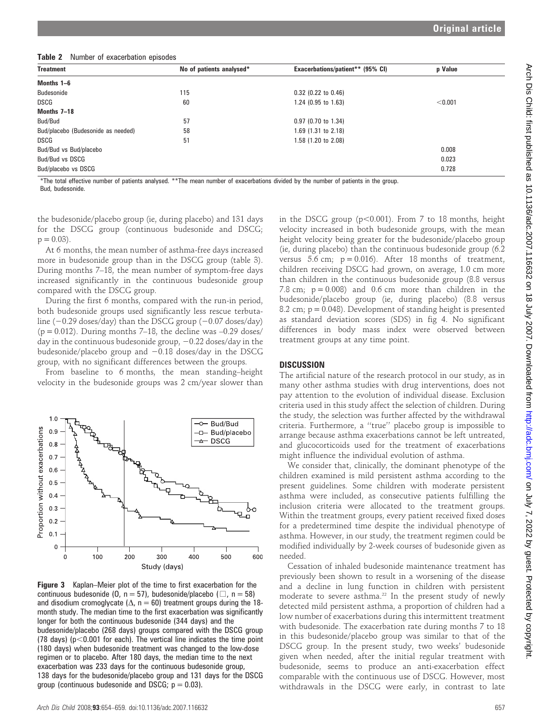Table 2 Number of exacerbation episodes

| <b>Treatment</b>                   | No of patients analysed* | Exacerbations/patient** (95% CI) | p Value |
|------------------------------------|--------------------------|----------------------------------|---------|
| Months 1–6                         |                          |                                  |         |
| Budesonide                         | 115                      | $0.32$ (0.22 to 0.46)            |         |
| <b>DSCG</b>                        | 60                       | 1.24 (0.95 to 1.63)              | < 0.001 |
| Months 7-18                        |                          |                                  |         |
| Bud/Bud                            | 57                       | $0.97$ (0.70 to 1.34)            |         |
| Bud/placebo (Budesonide as needed) | 58                       | 1.69 (1.31 to 2.18)              |         |
| DSCG                               | 51                       | 1.58 (1.20 to 2.08)              |         |
| Bud/Bud vs Bud/placebo             |                          |                                  | 0.008   |
| Bud/Bud vs DSCG                    |                          |                                  | 0.023   |
| Bud/placebo vs DSCG                |                          |                                  | 0.728   |

\*The total effective number of patients analysed. \*\*The mean number of exacerbations divided by the number of patients in the group. Bud, budesonide.

the budesonide/placebo group (ie, during placebo) and 131 days for the DSCG group (continuous budesonide and DSCG;  $p = 0.03$ ).

At 6 months, the mean number of asthma-free days increased more in budesonide group than in the DSCG group (table 3). During months 7–18, the mean number of symptom-free days increased significantly in the continuous budesonide group compared with the DSCG group.

During the first 6 months, compared with the run-in period, both budesonide groups used significantly less rescue terbutaline  $(-0.29$  doses/day) than the DSCG group  $(-0.07$  doses/day)  $(p = 0.012)$ . During months 7–18, the decline was  $-0.29$  doses/ day in the continuous budesonide group,  $-0.22$  doses/day in the budesonide/placebo group and  $-0.18$  doses/day in the DSCG group, with no significant differences between the groups.

From baseline to 6 months, the mean standing–height velocity in the budesonide groups was 2 cm/year slower than



Figure 3 Kaplan–Meier plot of the time to first exacerbation for the continuous budesonide (0, n = 57), budesonide/placebo ( $\Box$ , n = 58) and disodium cromoglycate ( $\Delta$ , n = 60) treatment groups during the 18month study. The median time to the first exacerbation was significantly longer for both the continuous budesonide (344 days) and the budesonide/placebo (268 days) groups compared with the DSCG group (78 days) ( $p$ <0.001 for each). The vertical line indicates the time point (180 days) when budesonide treatment was changed to the low-dose regimen or to placebo. After 180 days, the median time to the next exacerbation was 233 days for the continuous budesonide group, 138 days for the budesonide/placebo group and 131 days for the DSCG group (continuous budesonide and DSCG;  $p = 0.03$ ).

in the DSCG group  $(p<0.001)$ . From 7 to 18 months, height velocity increased in both budesonide groups, with the mean height velocity being greater for the budesonide/placebo group (ie, during placebo) than the continuous budesonide group (6.2 versus 5.6 cm;  $p = 0.016$ . After 18 months of treatment, children receiving DSCG had grown, on average, 1.0 cm more than children in the continuous budesonide group (8.8 versus 7.8 cm;  $p = 0.008$ ) and 0.6 cm more than children in the budesonide/placebo group (ie, during placebo) (8.8 versus 8.2 cm;  $p = 0.048$ ). Development of standing height is presented as standard deviation scores (SDS) in fig 4. No significant differences in body mass index were observed between treatment groups at any time point.

#### **DISCUSSION**

The artificial nature of the research protocol in our study, as in many other asthma studies with drug interventions, does not pay attention to the evolution of individual disease. Exclusion criteria used in this study affect the selection of children. During the study, the selection was further affected by the withdrawal criteria. Furthermore, a ''true'' placebo group is impossible to arrange because asthma exacerbations cannot be left untreated, and glucocorticoids used for the treatment of exacerbations might influence the individual evolution of asthma.

We consider that, clinically, the dominant phenotype of the children examined is mild persistent asthma according to the present guidelines. Some children with moderate persistent asthma were included, as consecutive patients fulfilling the inclusion criteria were allocated to the treatment groups. Within the treatment groups, every patient received fixed doses for a predetermined time despite the individual phenotype of asthma. However, in our study, the treatment regimen could be modified individually by 2-week courses of budesonide given as needed.

Cessation of inhaled budesonide maintenance treatment has previously been shown to result in a worsening of the disease and a decline in lung function in children with persistent moderate to severe asthma.<sup>22</sup> In the present study of newly detected mild persistent asthma, a proportion of children had a low number of exacerbations during this intermittent treatment with budesonide. The exacerbation rate during months 7 to 18 in this budesonide/placebo group was similar to that of the DSCG group. In the present study, two weeks' budesonide given when needed, after the initial regular treatment with budesonide, seems to produce an anti-exacerbation effect comparable with the continuous use of DSCG. However, most withdrawals in the DSCG were early, in contrast to late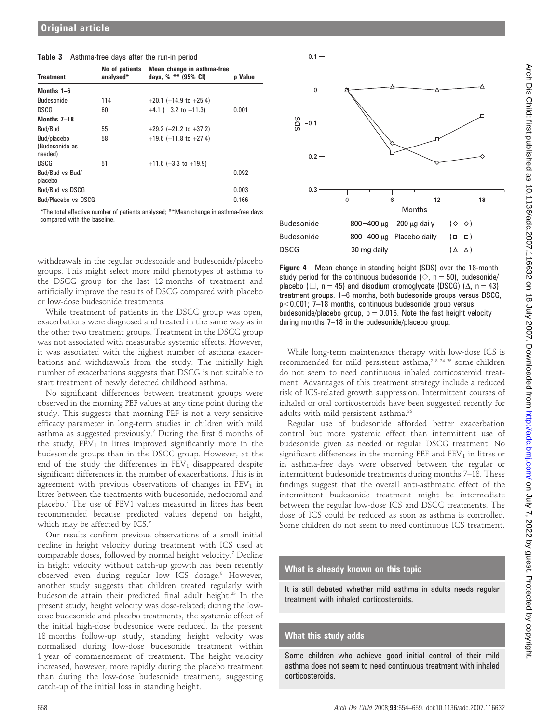|  | Table 3 Asthma-free days after the run-in period |  |  |  |  |  |
|--|--------------------------------------------------|--|--|--|--|--|
|--|--------------------------------------------------|--|--|--|--|--|

| <b>Treatment</b>                         | No of patients<br>analysed* | Mean change in asthma-free<br>days, % ** (95% CI) | <b>p</b> Value |
|------------------------------------------|-----------------------------|---------------------------------------------------|----------------|
| Months 1-6                               |                             |                                                   |                |
| <b>Budesonide</b>                        | 114                         | $+20.1$ (+14.9 to +25.4)                          |                |
| <b>DSCG</b>                              | 60                          | $+4.1$ (-3.2 to +11.3)                            | 0.001          |
| Months 7-18                              |                             |                                                   |                |
| Bud/Bud                                  | 55                          | $+29.2$ (+21.2 to +37.2)                          |                |
| Bud/placebo<br>(Budesonide as<br>needed) | 58                          | $+19.6$ (+11.8 to +27.4)                          |                |
| DSCG                                     | 51                          | $+11.6$ (+3.3 to +19.9)                           |                |
| Bud/Bud vs Bud/<br>placebo               |                             |                                                   | 0.092          |
| Bud/Bud vs DSCG                          |                             |                                                   | 0.003          |
| Bud/Placebo vs DSCG                      |                             |                                                   | 0.166          |

\*The total effective number of patients analysed; \*\*Mean change in asthma-free days compared with the baseline.

withdrawals in the regular budesonide and budesonide/placebo groups. This might select more mild phenotypes of asthma to the DSCG group for the last 12 months of treatment and artificially improve the results of DSCG compared with placebo or low-dose budesonide treatments.

While treatment of patients in the DSCG group was open, exacerbations were diagnosed and treated in the same way as in the other two treatment groups. Treatment in the DSCG group was not associated with measurable systemic effects. However, it was associated with the highest number of asthma exacerbations and withdrawals from the study. The initially high number of exacerbations suggests that DSCG is not suitable to start treatment of newly detected childhood asthma.

No significant differences between treatment groups were observed in the morning PEF values at any time point during the study. This suggests that morning PEF is not a very sensitive efficacy parameter in long-term studies in children with mild asthma as suggested previously.7 During the first 6 months of the study,  $FEV<sub>1</sub>$  in litres improved significantly more in the budesonide groups than in the DSCG group. However, at the end of the study the differences in  $FEV<sub>1</sub>$  disappeared despite significant differences in the number of exacerbations. This is in agreement with previous observations of changes in  $FEV<sub>1</sub>$  in litres between the treatments with budesonide, nedocromil and placebo.7 The use of FEV1 values measured in litres has been recommended because predicted values depend on height, which may be affected by ICS.<sup>7</sup>

Our results confirm previous observations of a small initial decline in height velocity during treatment with ICS used at comparable doses, followed by normal height velocity.7 Decline in height velocity without catch-up growth has been recently observed even during regular low ICS dosage.<sup>8</sup> However, another study suggests that children treated regularly with budesonide attain their predicted final adult height.<sup>23</sup> In the present study, height velocity was dose-related; during the lowdose budesonide and placebo treatments, the systemic effect of the initial high-dose budesonide were reduced. In the present 18 months follow-up study, standing height velocity was normalised during low-dose budesonide treatment within 1 year of commencement of treatment. The height velocity increased, however, more rapidly during the placebo treatment than during the low-dose budesonide treatment, suggesting catch-up of the initial loss in standing height.



Figure 4 Mean change in standing height (SDS) over the 18-month study period for the continuous budesonide ( $\Diamond$ , n = 50), budesonide/ placebo ( $\Box$ , n = 45) and disodium cromoglycate (DSCG) ( $\Delta$ , n = 43) treatment groups. 1–6 months, both budesonide groups versus DSCG,  $p$ <0.001; 7–18 months, continuous budesonide group versus budesonide/placebo group,  $p = 0.016$ . Note the fast height velocity during months 7–18 in the budesonide/placebo group.

While long-term maintenance therapy with low-dose ICS is recommended for mild persistent asthma,7 8 24 25 some children do not seem to need continuous inhaled corticosteroid treatment. Advantages of this treatment strategy include a reduced risk of ICS-related growth suppression. Intermittent courses of inhaled or oral corticosteroids have been suggested recently for adults with mild persistent asthma.<sup>26</sup>

Regular use of budesonide afforded better exacerbation control but more systemic effect than intermittent use of budesonide given as needed or regular DSCG treatment. No significant differences in the morning PEF and  $FEV<sub>1</sub>$  in litres or in asthma-free days were observed between the regular or intermittent budesonide treatments during months 7–18. These findings suggest that the overall anti-asthmatic effect of the intermittent budesonide treatment might be intermediate between the regular low-dose ICS and DSCG treatments. The dose of ICS could be reduced as soon as asthma is controlled. Some children do not seem to need continuous ICS treatment.

### What is already known on this topic

It is still debated whether mild asthma in adults needs regular treatment with inhaled corticosteroids.

## What this study adds

Some children who achieve good initial control of their mild asthma does not seem to need continuous treatment with inhaled corticosteroids.